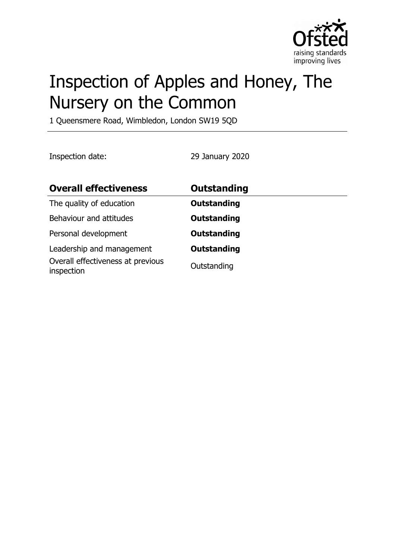

# Inspection of Apples and Honey, The Nursery on the Common

1 Queensmere Road, Wimbledon, London SW19 5QD

Inspection date: 29 January 2020

| <b>Overall effectiveness</b>                                                 | Outstanding                       |
|------------------------------------------------------------------------------|-----------------------------------|
| The quality of education                                                     | <b>Outstanding</b>                |
| Behaviour and attitudes                                                      | <b>Outstanding</b>                |
| Personal development                                                         | <b>Outstanding</b>                |
| Leadership and management<br>Overall effectiveness at previous<br>inspection | <b>Outstanding</b><br>Outstanding |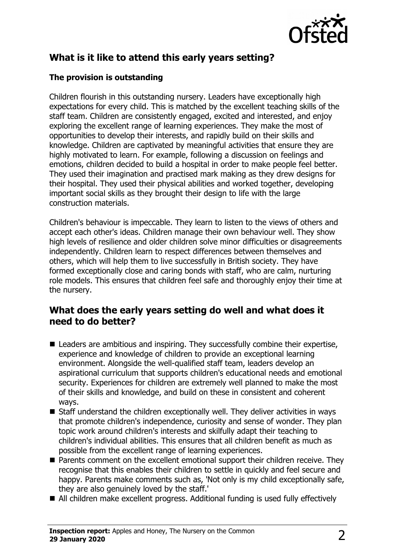

# **What is it like to attend this early years setting?**

#### **The provision is outstanding**

Children flourish in this outstanding nursery. Leaders have exceptionally high expectations for every child. This is matched by the excellent teaching skills of the staff team. Children are consistently engaged, excited and interested, and enjoy exploring the excellent range of learning experiences. They make the most of opportunities to develop their interests, and rapidly build on their skills and knowledge. Children are captivated by meaningful activities that ensure they are highly motivated to learn. For example, following a discussion on feelings and emotions, children decided to build a hospital in order to make people feel better. They used their imagination and practised mark making as they drew designs for their hospital. They used their physical abilities and worked together, developing important social skills as they brought their design to life with the large construction materials.

Children's behaviour is impeccable. They learn to listen to the views of others and accept each other's ideas. Children manage their own behaviour well. They show high levels of resilience and older children solve minor difficulties or disagreements independently. Children learn to respect differences between themselves and others, which will help them to live successfully in British society. They have formed exceptionally close and caring bonds with staff, who are calm, nurturing role models. This ensures that children feel safe and thoroughly enjoy their time at the nursery.

#### **What does the early years setting do well and what does it need to do better?**

- $\blacksquare$  Leaders are ambitious and inspiring. They successfully combine their expertise, experience and knowledge of children to provide an exceptional learning environment. Alongside the well-qualified staff team, leaders develop an aspirational curriculum that supports children's educational needs and emotional security. Experiences for children are extremely well planned to make the most of their skills and knowledge, and build on these in consistent and coherent ways.
- $\blacksquare$  Staff understand the children exceptionally well. They deliver activities in ways that promote children's independence, curiosity and sense of wonder. They plan topic work around children's interests and skilfully adapt their teaching to children's individual abilities. This ensures that all children benefit as much as possible from the excellent range of learning experiences.
- $\blacksquare$  Parents comment on the excellent emotional support their children receive. They recognise that this enables their children to settle in quickly and feel secure and happy. Parents make comments such as, 'Not only is my child exceptionally safe, they are also genuinely loved by the staff.'
- All children make excellent progress. Additional funding is used fully effectively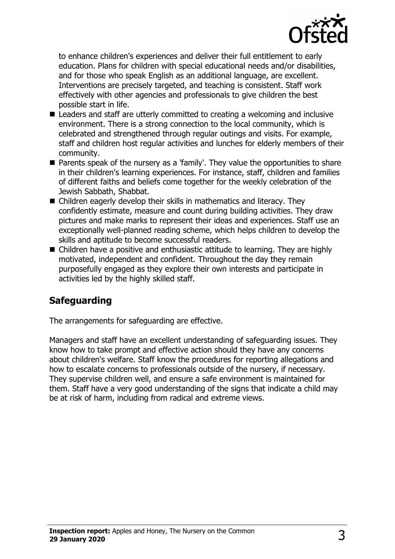

to enhance children's experiences and deliver their full entitlement to early education. Plans for children with special educational needs and/or disabilities, and for those who speak English as an additional language, are excellent. Interventions are precisely targeted, and teaching is consistent. Staff work effectively with other agencies and professionals to give children the best possible start in life.

- $\blacksquare$  Leaders and staff are utterly committed to creating a welcoming and inclusive environment. There is a strong connection to the local community, which is celebrated and strengthened through regular outings and visits. For example, staff and children host regular activities and lunches for elderly members of their community.
- $\blacksquare$  Parents speak of the nursery as a 'family'. They value the opportunities to share in their children's learning experiences. For instance, staff, children and families of different faiths and beliefs come together for the weekly celebration of the Jewish Sabbath, Shabbat.
- $\blacksquare$  Children eagerly develop their skills in mathematics and literacy. They confidently estimate, measure and count during building activities. They draw pictures and make marks to represent their ideas and experiences. Staff use an exceptionally well-planned reading scheme, which helps children to develop the skills and aptitude to become successful readers.
- $\blacksquare$  Children have a positive and enthusiastic attitude to learning. They are highly motivated, independent and confident. Throughout the day they remain purposefully engaged as they explore their own interests and participate in activities led by the highly skilled staff.

## **Safeguarding**

The arrangements for safeguarding are effective.

Managers and staff have an excellent understanding of safeguarding issues. They know how to take prompt and effective action should they have any concerns about children's welfare. Staff know the procedures for reporting allegations and how to escalate concerns to professionals outside of the nursery, if necessary. They supervise children well, and ensure a safe environment is maintained for them. Staff have a very good understanding of the signs that indicate a child may be at risk of harm, including from radical and extreme views.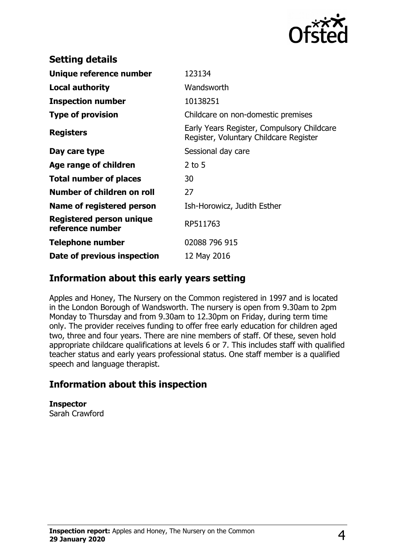

| <b>Setting details</b>                              |                                                                                      |
|-----------------------------------------------------|--------------------------------------------------------------------------------------|
| Unique reference number                             | 123134                                                                               |
| Local authority                                     | Wandsworth                                                                           |
| <b>Inspection number</b>                            | 10138251                                                                             |
| <b>Type of provision</b>                            | Childcare on non-domestic premises                                                   |
| <b>Registers</b>                                    | Early Years Register, Compulsory Childcare<br>Register, Voluntary Childcare Register |
| Day care type                                       | Sessional day care                                                                   |
| Age range of children                               | $2$ to 5                                                                             |
| <b>Total number of places</b>                       | 30                                                                                   |
| Number of children on roll                          | 27                                                                                   |
| Name of registered person                           | Ish-Horowicz, Judith Esther                                                          |
| <b>Registered person unique</b><br>reference number | RP511763                                                                             |
| <b>Telephone number</b>                             | 02088 796 915                                                                        |
| Date of previous inspection                         | 12 May 2016                                                                          |

### **Information about this early years setting**

Apples and Honey, The Nursery on the Common registered in 1997 and is located in the London Borough of Wandsworth. The nursery is open from 9.30am to 2pm Monday to Thursday and from 9.30am to 12.30pm on Friday, during term time only. The provider receives funding to offer free early education for children aged two, three and four years. There are nine members of staff. Of these, seven hold appropriate childcare qualifications at levels 6 or 7. This includes staff with qualified teacher status and early years professional status. One staff member is a qualified speech and language therapist.

## **Information about this inspection**

**Inspector** Sarah Crawford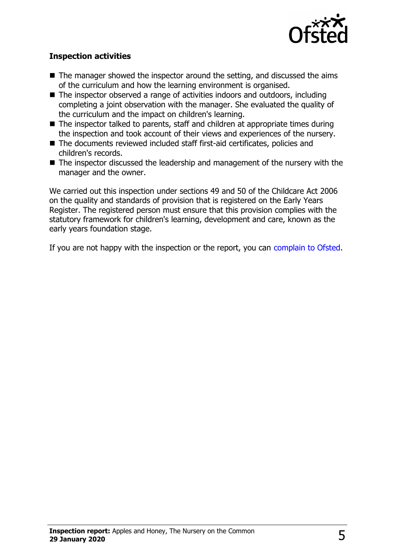

#### **Inspection activities**

- $\blacksquare$  The manager showed the inspector around the setting, and discussed the aims of the curriculum and how the learning environment is organised.
- $\blacksquare$  The inspector observed a range of activities indoors and outdoors, including completing a joint observation with the manager. She evaluated the quality of the curriculum and the impact on children's learning.
- $\blacksquare$  The inspector talked to parents, staff and children at appropriate times during the inspection and took account of their views and experiences of the nursery.
- The documents reviewed included staff first-aid certificates, policies and children's records.
- $\blacksquare$  The inspector discussed the leadership and management of the nursery with the manager and the owner.

We carried out this inspection under sections 49 and 50 of the Childcare Act 2006 on the quality and standards of provision that is registered on the Early Years Register. The registered person must ensure that this provision complies with the statutory framework for children's learning, development and care, known as the early years foundation stage.

If you are not happy with the inspection or the report, you can [complain to Ofsted.](http://www.gov.uk/complain-ofsted-report)